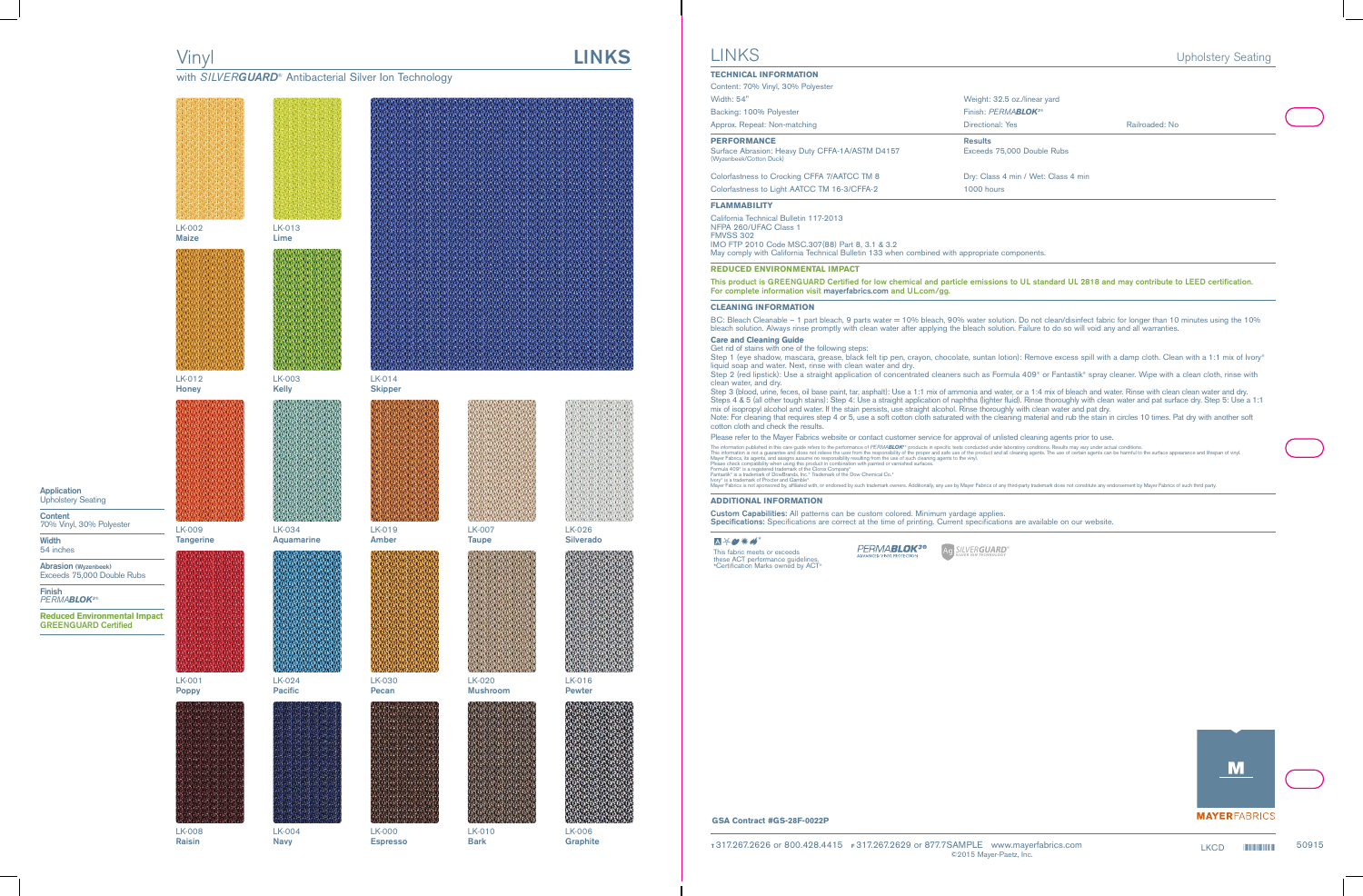# Vinyl **LINKS**

with *SILVERGUARD<sup>®</sup> Antibacterial Silver Ion Technology* 



**Espresso**

**Application** Upholstery Seating

**Content** 70% Vinyl, 30% Polyester

**Width** 54 inches

**Abrasion (Wyzenbeek)** Exceeds 75,000 Double Rubs

**Finish** *PERMABLOK3*®

**Reduced Environmental Impact GREENGUARD Certified**

**Raisin**

**Navy**

**Bark**

LK-006 **Graphite**